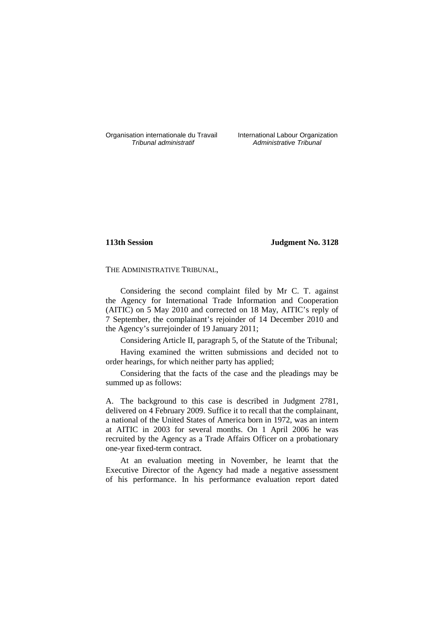Organisation internationale du Travail International Labour Organization<br>*Tribunal administratif* Administrative Tribunal

Administrative Tribunal

# **113th Session Judgment No. 3128**

THE ADMINISTRATIVE TRIBUNAL,

Considering the second complaint filed by Mr C. T. against the Agency for International Trade Information and Cooperation (AITIC) on 5 May 2010 and corrected on 18 May, AITIC's reply of 7 September, the complainant's rejoinder of 14 December 2010 and the Agency's surrejoinder of 19 January 2011;

Considering Article II, paragraph 5, of the Statute of the Tribunal;

Having examined the written submissions and decided not to order hearings, for which neither party has applied;

Considering that the facts of the case and the pleadings may be summed up as follows:

A. The background to this case is described in Judgment 2781, delivered on 4 February 2009. Suffice it to recall that the complainant, a national of the United States of America born in 1972, was an intern at AITIC in 2003 for several months. On 1 April 2006 he was recruited by the Agency as a Trade Affairs Officer on a probationary one-year fixed-term contract.

At an evaluation meeting in November, he learnt that the Executive Director of the Agency had made a negative assessment of his performance. In his performance evaluation report dated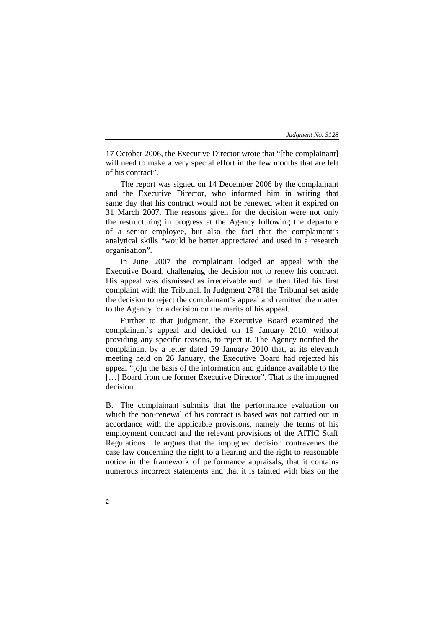17 October 2006, the Executive Director wrote that "[the complainant] will need to make a very special effort in the few months that are left of his contract".

The report was signed on 14 December 2006 by the complainant and the Executive Director, who informed him in writing that same day that his contract would not be renewed when it expired on 31 March 2007. The reasons given for the decision were not only the restructuring in progress at the Agency following the departure of a senior employee, but also the fact that the complainant's analytical skills "would be better appreciated and used in a research organisation".

In June 2007 the complainant lodged an appeal with the Executive Board, challenging the decision not to renew his contract. His appeal was dismissed as irreceivable and he then filed his first complaint with the Tribunal. In Judgment 2781 the Tribunal set aside the decision to reject the complainant's appeal and remitted the matter to the Agency for a decision on the merits of his appeal.

Further to that judgment, the Executive Board examined the complainant's appeal and decided on 19 January 2010, without providing any specific reasons, to reject it. The Agency notified the complainant by a letter dated 29 January 2010 that, at its eleventh meeting held on 26 January, the Executive Board had rejected his appeal "[o]n the basis of the information and guidance available to the [...] Board from the former Executive Director". That is the impugned decision.

B. The complainant submits that the performance evaluation on which the non-renewal of his contract is based was not carried out in accordance with the applicable provisions, namely the terms of his employment contract and the relevant provisions of the AITIC Staff Regulations. He argues that the impugned decision contravenes the case law concerning the right to a hearing and the right to reasonable notice in the framework of performance appraisals, that it contains numerous incorrect statements and that it is tainted with bias on the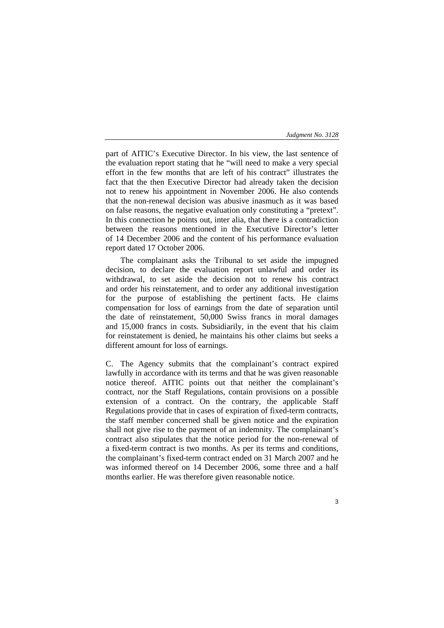part of AITIC's Executive Director. In his view, the last sentence of the evaluation report stating that he "will need to make a very special effort in the few months that are left of his contract" illustrates the fact that the then Executive Director had already taken the decision not to renew his appointment in November 2006. He also contends that the non-renewal decision was abusive inasmuch as it was based on false reasons, the negative evaluation only constituting a "pretext". In this connection he points out, inter alia, that there is a contradiction between the reasons mentioned in the Executive Director's letter of 14 December 2006 and the content of his performance evaluation report dated 17 October 2006.

The complainant asks the Tribunal to set aside the impugned decision, to declare the evaluation report unlawful and order its withdrawal, to set aside the decision not to renew his contract and order his reinstatement, and to order any additional investigation for the purpose of establishing the pertinent facts. He claims compensation for loss of earnings from the date of separation until the date of reinstatement, 50,000 Swiss francs in moral damages and 15,000 francs in costs. Subsidiarily, in the event that his claim for reinstatement is denied, he maintains his other claims but seeks a different amount for loss of earnings.

C. The Agency submits that the complainant's contract expired lawfully in accordance with its terms and that he was given reasonable notice thereof. AITIC points out that neither the complainant's contract, nor the Staff Regulations, contain provisions on a possible extension of a contract. On the contrary, the applicable Staff Regulations provide that in cases of expiration of fixed-term contracts, the staff member concerned shall be given notice and the expiration shall not give rise to the payment of an indemnity. The complainant's contract also stipulates that the notice period for the non-renewal of a fixed-term contract is two months. As per its terms and conditions, the complainant's fixed-term contract ended on 31 March 2007 and he was informed thereof on 14 December 2006, some three and a half months earlier. He was therefore given reasonable notice.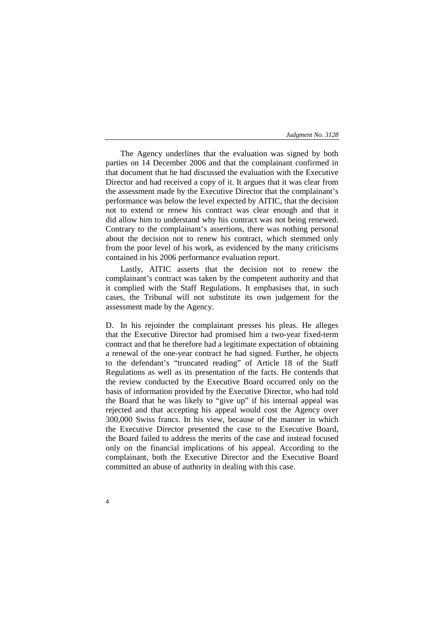The Agency underlines that the evaluation was signed by both parties on 14 December 2006 and that the complainant confirmed in that document that he had discussed the evaluation with the Executive Director and had received a copy of it. It argues that it was clear from the assessment made by the Executive Director that the complainant's performance was below the level expected by AITIC, that the decision not to extend or renew his contract was clear enough and that it did allow him to understand why his contract was not being renewed. Contrary to the complainant's assertions, there was nothing personal about the decision not to renew his contract, which stemmed only from the poor level of his work, as evidenced by the many criticisms contained in his 2006 performance evaluation report.

Lastly, AITIC asserts that the decision not to renew the complainant's contract was taken by the competent authority and that it complied with the Staff Regulations. It emphasises that, in such cases, the Tribunal will not substitute its own judgement for the assessment made by the Agency.

D. In his rejoinder the complainant presses his pleas. He alleges that the Executive Director had promised him a two-year fixed-term contract and that he therefore had a legitimate expectation of obtaining a renewal of the one-year contract he had signed. Further, he objects to the defendant's "truncated reading" of Article 18 of the Staff Regulations as well as its presentation of the facts. He contends that the review conducted by the Executive Board occurred only on the basis of information provided by the Executive Director, who had told the Board that he was likely to "give up" if his internal appeal was rejected and that accepting his appeal would cost the Agency over 300,000 Swiss francs. In his view, because of the manner in which the Executive Director presented the case to the Executive Board, the Board failed to address the merits of the case and instead focused only on the financial implications of his appeal. According to the complainant, both the Executive Director and the Executive Board committed an abuse of authority in dealing with this case.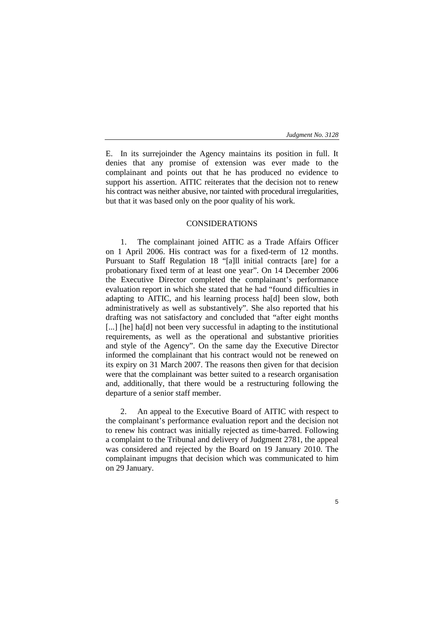E. In its surrejoinder the Agency maintains its position in full. It denies that any promise of extension was ever made to the complainant and points out that he has produced no evidence to support his assertion. AITIC reiterates that the decision not to renew his contract was neither abusive, nor tainted with procedural irregularities, but that it was based only on the poor quality of his work.

# CONSIDERATIONS

1. The complainant joined AITIC as a Trade Affairs Officer on 1 April 2006. His contract was for a fixed-term of 12 months. Pursuant to Staff Regulation 18 "[a]ll initial contracts [are] for a probationary fixed term of at least one year". On 14 December 2006 the Executive Director completed the complainant's performance evaluation report in which she stated that he had "found difficulties in adapting to AITIC, and his learning process ha[d] been slow, both administratively as well as substantively". She also reported that his drafting was not satisfactory and concluded that "after eight months [...] [he] ha[d] not been very successful in adapting to the institutional requirements, as well as the operational and substantive priorities and style of the Agency". On the same day the Executive Director informed the complainant that his contract would not be renewed on its expiry on 31 March 2007. The reasons then given for that decision were that the complainant was better suited to a research organisation and, additionally, that there would be a restructuring following the departure of a senior staff member.

2. An appeal to the Executive Board of AITIC with respect to the complainant's performance evaluation report and the decision not to renew his contract was initially rejected as time-barred. Following a complaint to the Tribunal and delivery of Judgment 2781, the appeal was considered and rejected by the Board on 19 January 2010. The complainant impugns that decision which was communicated to him on 29 January.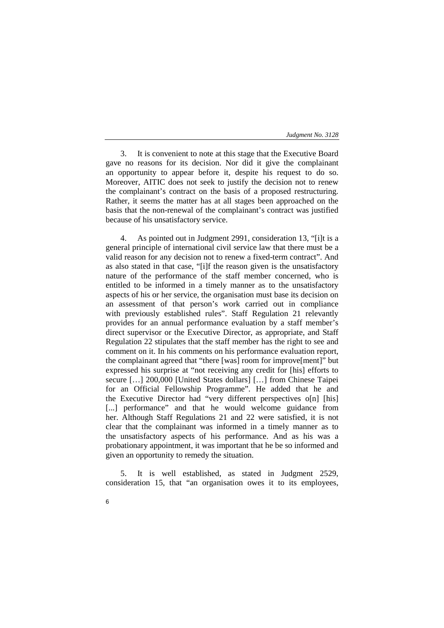3. It is convenient to note at this stage that the Executive Board gave no reasons for its decision. Nor did it give the complainant an opportunity to appear before it, despite his request to do so. Moreover, AITIC does not seek to justify the decision not to renew the complainant's contract on the basis of a proposed restructuring. Rather, it seems the matter has at all stages been approached on the basis that the non-renewal of the complainant's contract was justified because of his unsatisfactory service.

4. As pointed out in Judgment 2991, consideration 13, "[i]t is a general principle of international civil service law that there must be a valid reason for any decision not to renew a fixed-term contract". And as also stated in that case, "[i]f the reason given is the unsatisfactory nature of the performance of the staff member concerned, who is entitled to be informed in a timely manner as to the unsatisfactory aspects of his or her service, the organisation must base its decision on an assessment of that person's work carried out in compliance with previously established rules". Staff Regulation 21 relevantly provides for an annual performance evaluation by a staff member's direct supervisor or the Executive Director, as appropriate, and Staff Regulation 22 stipulates that the staff member has the right to see and comment on it. In his comments on his performance evaluation report, the complainant agreed that "there [was] room for improve[ment]" but expressed his surprise at "not receiving any credit for [his] efforts to secure [...] 200,000 [United States dollars] [...] from Chinese Taipei for an Official Fellowship Programme". He added that he and the Executive Director had "very different perspectives o[n] [his] [...] performance" and that he would welcome guidance from her. Although Staff Regulations 21 and 22 were satisfied, it is not clear that the complainant was informed in a timely manner as to the unsatisfactory aspects of his performance. And as his was a probationary appointment, it was important that he be so informed and given an opportunity to remedy the situation.

5. It is well established, as stated in Judgment 2529, consideration 15, that "an organisation owes it to its employees,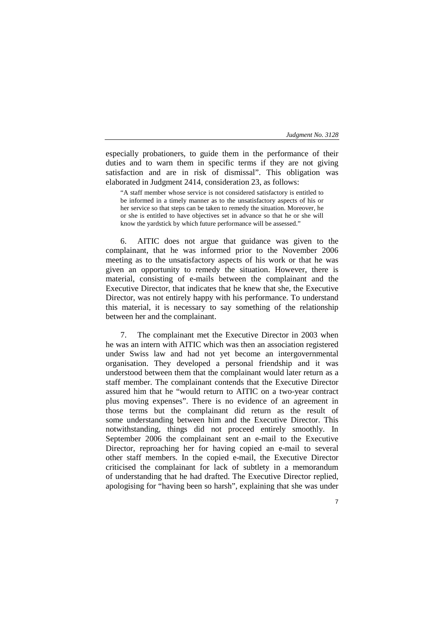7

especially probationers, to guide them in the performance of their duties and to warn them in specific terms if they are not giving satisfaction and are in risk of dismissal". This obligation was elaborated in Judgment 2414, consideration 23, as follows:

"A staff member whose service is not considered satisfactory is entitled to be informed in a timely manner as to the unsatisfactory aspects of his or her service so that steps can be taken to remedy the situation. Moreover, he or she is entitled to have objectives set in advance so that he or she will know the yardstick by which future performance will be assessed."

6. AITIC does not argue that guidance was given to the complainant, that he was informed prior to the November 2006 meeting as to the unsatisfactory aspects of his work or that he was given an opportunity to remedy the situation. However, there is material, consisting of e-mails between the complainant and the Executive Director, that indicates that he knew that she, the Executive Director, was not entirely happy with his performance. To understand this material, it is necessary to say something of the relationship between her and the complainant.

7. The complainant met the Executive Director in 2003 when he was an intern with AITIC which was then an association registered under Swiss law and had not yet become an intergovernmental organisation. They developed a personal friendship and it was understood between them that the complainant would later return as a staff member. The complainant contends that the Executive Director assured him that he "would return to AITIC on a two-year contract plus moving expenses". There is no evidence of an agreement in those terms but the complainant did return as the result of some understanding between him and the Executive Director. This notwithstanding, things did not proceed entirely smoothly. In September 2006 the complainant sent an e-mail to the Executive Director, reproaching her for having copied an e-mail to several other staff members. In the copied e-mail, the Executive Director criticised the complainant for lack of subtlety in a memorandum of understanding that he had drafted. The Executive Director replied, apologising for "having been so harsh", explaining that she was under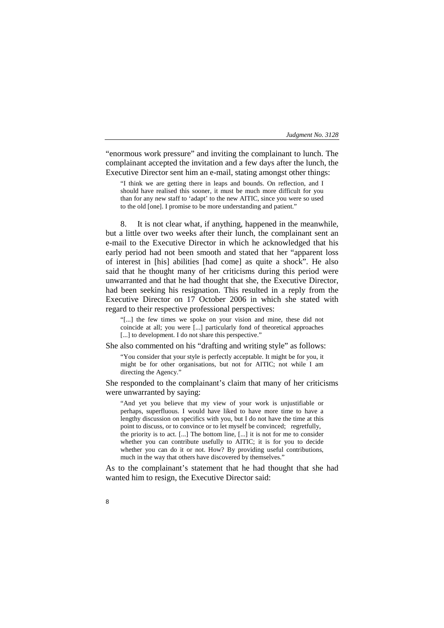"enormous work pressure" and inviting the complainant to lunch. The complainant accepted the invitation and a few days after the lunch, the Executive Director sent him an e-mail, stating amongst other things:

"I think we are getting there in leaps and bounds. On reflection, and I should have realised this sooner, it must be much more difficult for you than for any new staff to 'adapt' to the new AITIC, since you were so used to the old [one]. I promise to be more understanding and patient."

8. It is not clear what, if anything, happened in the meanwhile, but a little over two weeks after their lunch, the complainant sent an e-mail to the Executive Director in which he acknowledged that his early period had not been smooth and stated that her "apparent loss of interest in [his] abilities [had come] as quite a shock". He also said that he thought many of her criticisms during this period were unwarranted and that he had thought that she, the Executive Director, had been seeking his resignation. This resulted in a reply from the Executive Director on 17 October 2006 in which she stated with regard to their respective professional perspectives:

"[...] the few times we spoke on your vision and mine, these did not coincide at all; you were [...] particularly fond of theoretical approaches [...] to development. I do not share this perspective."

She also commented on his "drafting and writing style" as follows:

"You consider that your style is perfectly acceptable. It might be for you, it might be for other organisations, but not for AITIC; not while I am directing the Agency."

She responded to the complainant's claim that many of her criticisms were unwarranted by saying:

"And yet you believe that my view of your work is unjustifiable or perhaps, superfluous. I would have liked to have more time to have a lengthy discussion on specifics with you, but I do not have the time at this point to discuss, or to convince or to let myself be convinced; regretfully, the priority is to act. [...] The bottom line, [...] it is not for me to consider whether you can contribute usefully to AITIC; it is for you to decide whether you can do it or not. How? By providing useful contributions, much in the way that others have discovered by themselves."

As to the complainant's statement that he had thought that she had wanted him to resign, the Executive Director said: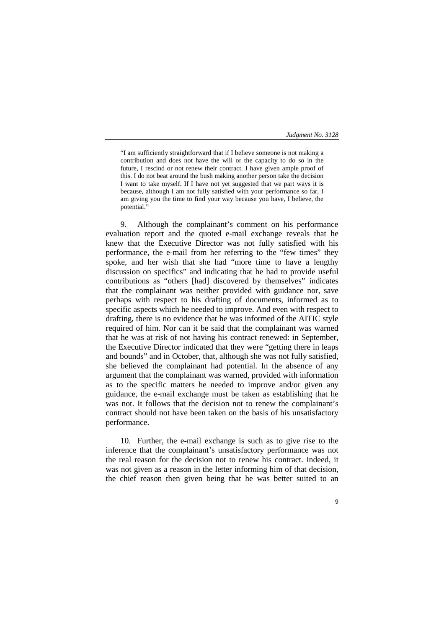"I am sufficiently straightforward that if I believe someone is not making a contribution and does not have the will or the capacity to do so in the future, I rescind or not renew their contract. I have given ample proof of this. I do not beat around the bush making another person take the decision I want to take myself. If I have not yet suggested that we part ways it is because, although I am not fully satisfied with your performance so far, I am giving you the time to find your way because you have, I believe, the potential.'

9. Although the complainant's comment on his performance evaluation report and the quoted e-mail exchange reveals that he knew that the Executive Director was not fully satisfied with his performance, the e-mail from her referring to the "few times" they spoke, and her wish that she had "more time to have a lengthy discussion on specifics" and indicating that he had to provide useful contributions as "others [had] discovered by themselves" indicates that the complainant was neither provided with guidance nor, save perhaps with respect to his drafting of documents, informed as to specific aspects which he needed to improve. And even with respect to drafting, there is no evidence that he was informed of the AITIC style required of him. Nor can it be said that the complainant was warned that he was at risk of not having his contract renewed: in September, the Executive Director indicated that they were "getting there in leaps and bounds" and in October, that, although she was not fully satisfied, she believed the complainant had potential. In the absence of any argument that the complainant was warned, provided with information as to the specific matters he needed to improve and/or given any guidance, the e-mail exchange must be taken as establishing that he was not. It follows that the decision not to renew the complainant's contract should not have been taken on the basis of his unsatisfactory performance.

10. Further, the e-mail exchange is such as to give rise to the inference that the complainant's unsatisfactory performance was not the real reason for the decision not to renew his contract. Indeed, it was not given as a reason in the letter informing him of that decision, the chief reason then given being that he was better suited to an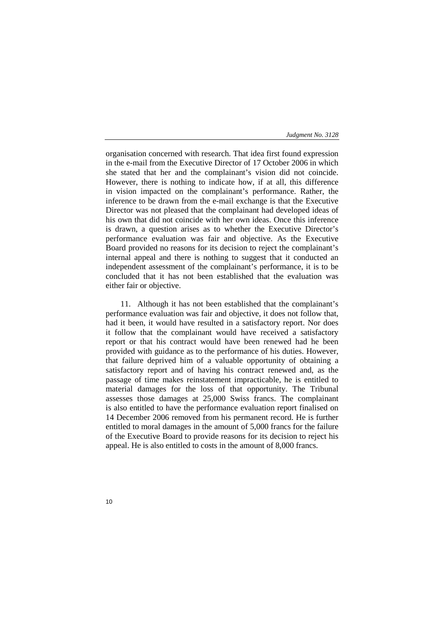organisation concerned with research. That idea first found expression in the e-mail from the Executive Director of 17 October 2006 in which she stated that her and the complainant's vision did not coincide. However, there is nothing to indicate how, if at all, this difference in vision impacted on the complainant's performance. Rather, the inference to be drawn from the e-mail exchange is that the Executive Director was not pleased that the complainant had developed ideas of his own that did not coincide with her own ideas. Once this inference is drawn, a question arises as to whether the Executive Director's performance evaluation was fair and objective. As the Executive Board provided no reasons for its decision to reject the complainant's internal appeal and there is nothing to suggest that it conducted an independent assessment of the complainant's performance, it is to be concluded that it has not been established that the evaluation was either fair or objective.

11. Although it has not been established that the complainant's performance evaluation was fair and objective, it does not follow that, had it been, it would have resulted in a satisfactory report. Nor does it follow that the complainant would have received a satisfactory report or that his contract would have been renewed had he been provided with guidance as to the performance of his duties. However, that failure deprived him of a valuable opportunity of obtaining a satisfactory report and of having his contract renewed and, as the passage of time makes reinstatement impracticable, he is entitled to material damages for the loss of that opportunity. The Tribunal assesses those damages at 25,000 Swiss francs. The complainant is also entitled to have the performance evaluation report finalised on 14 December 2006 removed from his permanent record. He is further entitled to moral damages in the amount of 5,000 francs for the failure of the Executive Board to provide reasons for its decision to reject his appeal. He is also entitled to costs in the amount of 8,000 francs.